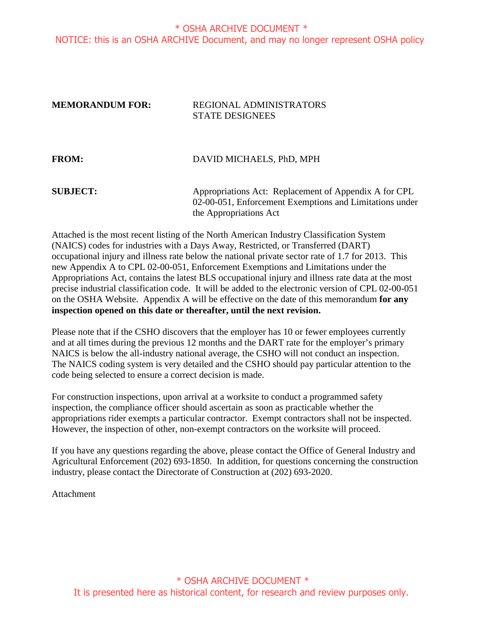#### \* OSHA ARCHIVE DOCUMENT \* NOTICE: this is an OSHA ARCHIVE Document, and may no longer represent OSHA policy

#### **MEMORANDUM FOR:** REGIONAL ADMINISTRATORS STATE DESIGNEES

| <b>FROM:</b>    | DAVID MICHAELS, PhD, MPH                                                                                         |
|-----------------|------------------------------------------------------------------------------------------------------------------|
| <b>SUBJECT:</b> | Appropriations Act: Replacement of Appendix A for CPL<br>02-00-051, Enforcement Exemptions and Limitations under |
|                 | the Appropriations Act                                                                                           |

Attached is the most recent listing of the North American Industry Classification System (NAICS) codes for industries with a Days Away, Restricted, or Transferred (DART) occupational injury and illness rate below the national private sector rate of 1.7 for 2013. This new Appendix A to CPL 02-00-051, Enforcement Exemptions and Limitations under the Appropriations Act, contains the latest BLS occupational injury and illness rate data at the most precise industrial classification code. It will be added to the electronic version of CPL 02-00-051 on the OSHA Website. Appendix A will be effective on the date of this memorandum **for any inspection opened on this date or thereafter, until the next revision.**

Please note that if the CSHO discovers that the employer has 10 or fewer employees currently and at all times during the previous 12 months and the DART rate for the employer's primary NAICS is below the all-industry national average, the CSHO will not conduct an inspection. The NAICS coding system is very detailed and the CSHO should pay particular attention to the code being selected to ensure a correct decision is made.

For construction inspections, upon arrival at a worksite to conduct a programmed safety inspection, the compliance officer should ascertain as soon as practicable whether the appropriations rider exempts a particular contractor. Exempt contractors shall not be inspected. However, the inspection of other, non-exempt contractors on the worksite will proceed.

If you have any questions regarding the above, please contact the Office of General Industry and Agricultural Enforcement (202) 693-1850. In addition, for questions concerning the construction industry, please contact the Directorate of Construction at (202) 693-2020.

Attachment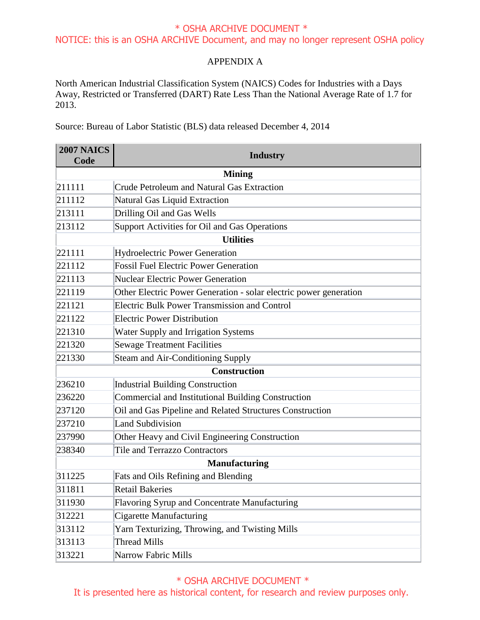#### \* OSHA ARCHIVE DOCUMENT \* NOTICE: this is an OSHA ARCHIVE Document, and may no longer represent OSHA policy

#### APPENDIX A

North American Industrial Classification System (NAICS) Codes for Industries with a Days Away, Restricted or Transferred (DART) Rate Less Than the National Average Rate of 1.7 for 2013.

Source: Bureau of Labor Statistic (BLS) data released December 4, 2014

| <b>2007 NAICS</b>    | <b>Industry</b>                                                   |  |
|----------------------|-------------------------------------------------------------------|--|
| Code                 |                                                                   |  |
|                      | <b>Mining</b>                                                     |  |
| 211111               | Crude Petroleum and Natural Gas Extraction                        |  |
| 211112               | Natural Gas Liquid Extraction                                     |  |
| 213111               | Drilling Oil and Gas Wells                                        |  |
| 213112               | Support Activities for Oil and Gas Operations                     |  |
|                      | <b>Utilities</b>                                                  |  |
| 221111               | <b>Hydroelectric Power Generation</b>                             |  |
| 221112               | <b>Fossil Fuel Electric Power Generation</b>                      |  |
| 221113               | <b>Nuclear Electric Power Generation</b>                          |  |
| 221119               | Other Electric Power Generation - solar electric power generation |  |
| 221121               | <b>Electric Bulk Power Transmission and Control</b>               |  |
| 221122               | <b>Electric Power Distribution</b>                                |  |
| 221310               | Water Supply and Irrigation Systems                               |  |
| 221320               | <b>Sewage Treatment Facilities</b>                                |  |
| 221330               | Steam and Air-Conditioning Supply                                 |  |
|                      | <b>Construction</b>                                               |  |
| 236210               | <b>Industrial Building Construction</b>                           |  |
| 236220               | Commercial and Institutional Building Construction                |  |
| 237120               | Oil and Gas Pipeline and Related Structures Construction          |  |
| 237210               | <b>Land Subdivision</b>                                           |  |
| 237990               | Other Heavy and Civil Engineering Construction                    |  |
| 238340               | Tile and Terrazzo Contractors                                     |  |
| <b>Manufacturing</b> |                                                                   |  |
| 311225               | <b>Fats and Oils Refining and Blending</b>                        |  |
| 311811               | <b>Retail Bakeries</b>                                            |  |
| 311930               | Flavoring Syrup and Concentrate Manufacturing                     |  |
| 312221               | <b>Cigarette Manufacturing</b>                                    |  |
| 313112               | Yarn Texturizing, Throwing, and Twisting Mills                    |  |
| 313113               | <b>Thread Mills</b>                                               |  |
| 313221               | Narrow Fabric Mills                                               |  |

#### \* OSHA ARCHIVE DOCUMENT \*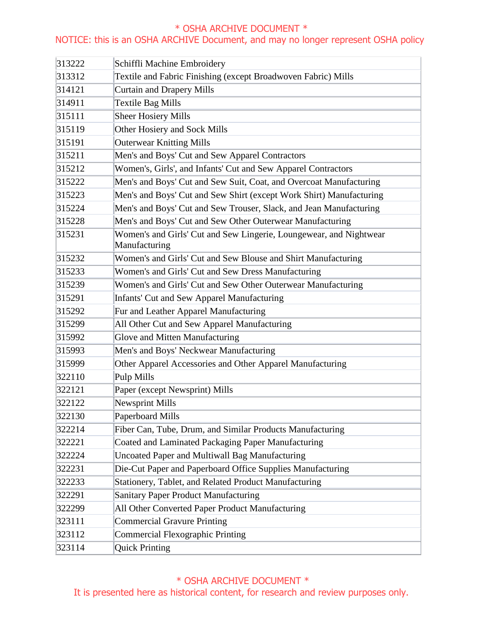## NOTICE: this is an OSHA ARCHIVE Document, and may no longer represent OSHA policy

| 313222 | Schiffli Machine Embroidery                                                         |
|--------|-------------------------------------------------------------------------------------|
| 313312 | Textile and Fabric Finishing (except Broadwoven Fabric) Mills                       |
| 314121 | Curtain and Drapery Mills                                                           |
| 314911 | <b>Textile Bag Mills</b>                                                            |
| 315111 | <b>Sheer Hosiery Mills</b>                                                          |
| 315119 | Other Hosiery and Sock Mills                                                        |
| 315191 | Outerwear Knitting Mills                                                            |
| 315211 | Men's and Boys' Cut and Sew Apparel Contractors                                     |
| 315212 | Women's, Girls', and Infants' Cut and Sew Apparel Contractors                       |
| 315222 | Men's and Boys' Cut and Sew Suit, Coat, and Overcoat Manufacturing                  |
| 315223 | Men's and Boys' Cut and Sew Shirt (except Work Shirt) Manufacturing                 |
| 315224 | Men's and Boys' Cut and Sew Trouser, Slack, and Jean Manufacturing                  |
| 315228 | Men's and Boys' Cut and Sew Other Outerwear Manufacturing                           |
| 315231 | Women's and Girls' Cut and Sew Lingerie, Loungewear, and Nightwear<br>Manufacturing |
| 315232 | Women's and Girls' Cut and Sew Blouse and Shirt Manufacturing                       |
| 315233 | Women's and Girls' Cut and Sew Dress Manufacturing                                  |
| 315239 | Women's and Girls' Cut and Sew Other Outerwear Manufacturing                        |
| 315291 | <b>Infants' Cut and Sew Apparel Manufacturing</b>                                   |
| 315292 | Fur and Leather Apparel Manufacturing                                               |
| 315299 | All Other Cut and Sew Apparel Manufacturing                                         |
| 315992 | Glove and Mitten Manufacturing                                                      |
| 315993 | Men's and Boys' Neckwear Manufacturing                                              |
| 315999 | Other Apparel Accessories and Other Apparel Manufacturing                           |
| 322110 | Pulp Mills                                                                          |
| 322121 | Paper (except Newsprint) Mills                                                      |
| 322122 | <b>Newsprint Mills</b>                                                              |
| 322130 | Paperboard Mills                                                                    |
| 322214 | Fiber Can, Tube, Drum, and Similar Products Manufacturing                           |
| 322221 | Coated and Laminated Packaging Paper Manufacturing                                  |
| 322224 | Uncoated Paper and Multiwall Bag Manufacturing                                      |
| 322231 | Die-Cut Paper and Paperboard Office Supplies Manufacturing                          |
| 322233 | Stationery, Tablet, and Related Product Manufacturing                               |
| 322291 | <b>Sanitary Paper Product Manufacturing</b>                                         |
| 322299 | All Other Converted Paper Product Manufacturing                                     |
| 323111 | <b>Commercial Gravure Printing</b>                                                  |
| 323112 | <b>Commercial Flexographic Printing</b>                                             |
| 323114 | <b>Quick Printing</b>                                                               |

# \* OSHA ARCHIVE DOCUMENT \*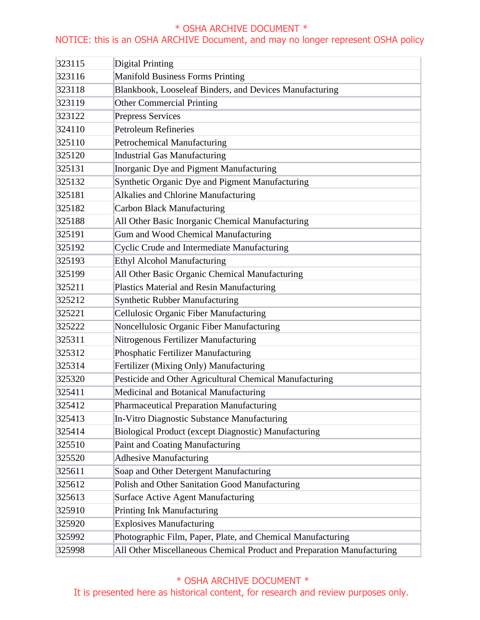## NOTICE: this is an OSHA ARCHIVE Document, and may no longer represent OSHA policy

| 323115 | Digital Printing                                                       |
|--------|------------------------------------------------------------------------|
| 323116 | <b>Manifold Business Forms Printing</b>                                |
| 323118 | Blankbook, Looseleaf Binders, and Devices Manufacturing                |
| 323119 | <b>Other Commercial Printing</b>                                       |
| 323122 | Prepress Services                                                      |
| 324110 | <b>Petroleum Refineries</b>                                            |
| 325110 | Petrochemical Manufacturing                                            |
| 325120 | <b>Industrial Gas Manufacturing</b>                                    |
| 325131 | Inorganic Dye and Pigment Manufacturing                                |
| 325132 | Synthetic Organic Dye and Pigment Manufacturing                        |
| 325181 | Alkalies and Chlorine Manufacturing                                    |
| 325182 | <b>Carbon Black Manufacturing</b>                                      |
| 325188 | All Other Basic Inorganic Chemical Manufacturing                       |
| 325191 | Gum and Wood Chemical Manufacturing                                    |
| 325192 | Cyclic Crude and Intermediate Manufacturing                            |
| 325193 | Ethyl Alcohol Manufacturing                                            |
| 325199 | All Other Basic Organic Chemical Manufacturing                         |
| 325211 | Plastics Material and Resin Manufacturing                              |
| 325212 | <b>Synthetic Rubber Manufacturing</b>                                  |
| 325221 | Cellulosic Organic Fiber Manufacturing                                 |
| 325222 | Noncellulosic Organic Fiber Manufacturing                              |
| 325311 | Nitrogenous Fertilizer Manufacturing                                   |
| 325312 | Phosphatic Fertilizer Manufacturing                                    |
| 325314 | Fertilizer (Mixing Only) Manufacturing                                 |
| 325320 | Pesticide and Other Agricultural Chemical Manufacturing                |
| 325411 | Medicinal and Botanical Manufacturing                                  |
| 325412 | <b>Pharmaceutical Preparation Manufacturing</b>                        |
| 325413 | In-Vitro Diagnostic Substance Manufacturing                            |
| 325414 | Biological Product (except Diagnostic) Manufacturing                   |
| 325510 | Paint and Coating Manufacturing                                        |
| 325520 | <b>Adhesive Manufacturing</b>                                          |
| 325611 | Soap and Other Detergent Manufacturing                                 |
| 325612 | Polish and Other Sanitation Good Manufacturing                         |
| 325613 | <b>Surface Active Agent Manufacturing</b>                              |
| 325910 | Printing Ink Manufacturing                                             |
| 325920 | <b>Explosives Manufacturing</b>                                        |
| 325992 | Photographic Film, Paper, Plate, and Chemical Manufacturing            |
| 325998 | All Other Miscellaneous Chemical Product and Preparation Manufacturing |

## \* OSHA ARCHIVE DOCUMENT \*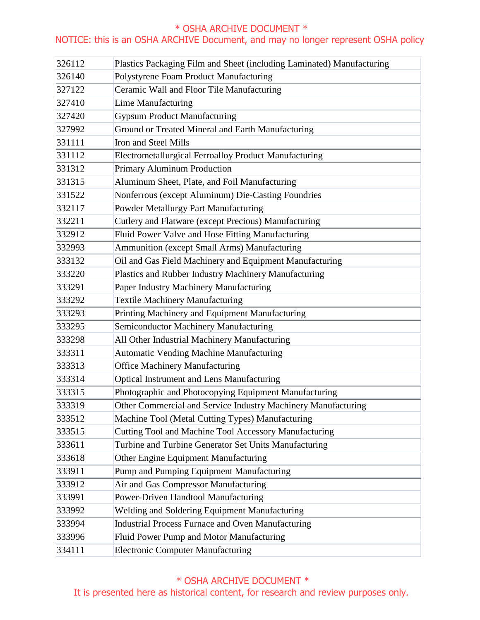## NOTICE: this is an OSHA ARCHIVE Document, and may no longer represent OSHA policy

| 326112 | Plastics Packaging Film and Sheet (including Laminated) Manufacturing |
|--------|-----------------------------------------------------------------------|
| 326140 | Polystyrene Foam Product Manufacturing                                |
| 327122 | Ceramic Wall and Floor Tile Manufacturing                             |
| 327410 | Lime Manufacturing                                                    |
| 327420 | <b>Gypsum Product Manufacturing</b>                                   |
| 327992 | Ground or Treated Mineral and Earth Manufacturing                     |
| 331111 | Iron and Steel Mills                                                  |
| 331112 | Electrometallurgical Ferroalloy Product Manufacturing                 |
| 331312 | Primary Aluminum Production                                           |
| 331315 | Aluminum Sheet, Plate, and Foil Manufacturing                         |
| 331522 | Nonferrous (except Aluminum) Die-Casting Foundries                    |
| 332117 | Powder Metallurgy Part Manufacturing                                  |
| 332211 | Cutlery and Flatware (except Precious) Manufacturing                  |
| 332912 | Fluid Power Valve and Hose Fitting Manufacturing                      |
| 332993 | <b>Ammunition (except Small Arms) Manufacturing</b>                   |
| 333132 | Oil and Gas Field Machinery and Equipment Manufacturing               |
| 333220 | Plastics and Rubber Industry Machinery Manufacturing                  |
| 333291 | Paper Industry Machinery Manufacturing                                |
| 333292 | <b>Textile Machinery Manufacturing</b>                                |
| 333293 | Printing Machinery and Equipment Manufacturing                        |
| 333295 | Semiconductor Machinery Manufacturing                                 |
| 333298 | All Other Industrial Machinery Manufacturing                          |
| 333311 | <b>Automatic Vending Machine Manufacturing</b>                        |
| 333313 | <b>Office Machinery Manufacturing</b>                                 |
| 333314 | Optical Instrument and Lens Manufacturing                             |
| 333315 | Photographic and Photocopying Equipment Manufacturing                 |
| 333319 | Other Commercial and Service Industry Machinery Manufacturing         |
| 333512 | Machine Tool (Metal Cutting Types) Manufacturing                      |
| 333515 | Cutting Tool and Machine Tool Accessory Manufacturing                 |
| 333611 | Turbine and Turbine Generator Set Units Manufacturing                 |
| 333618 | Other Engine Equipment Manufacturing                                  |
| 333911 | Pump and Pumping Equipment Manufacturing                              |
| 333912 | Air and Gas Compressor Manufacturing                                  |
| 333991 | Power-Driven Handtool Manufacturing                                   |
| 333992 | Welding and Soldering Equipment Manufacturing                         |
| 333994 | <b>Industrial Process Furnace and Oven Manufacturing</b>              |
| 333996 | Fluid Power Pump and Motor Manufacturing                              |
| 334111 | <b>Electronic Computer Manufacturing</b>                              |

\* OSHA ARCHIVE DOCUMENT \*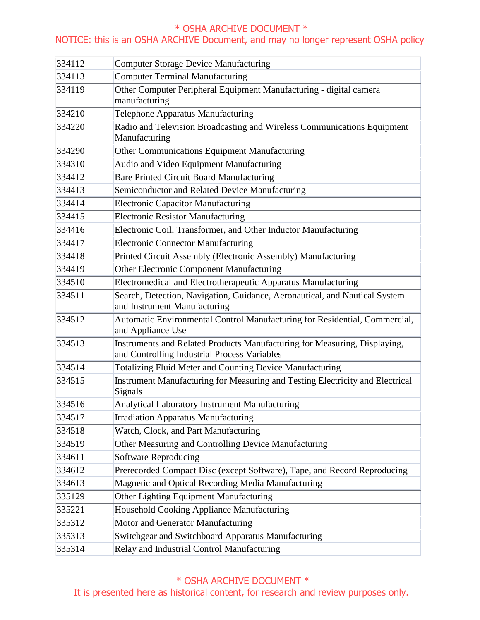## NOTICE: this is an OSHA ARCHIVE Document, and may no longer represent OSHA policy

| 334112 | Computer Storage Device Manufacturing                                                                                     |
|--------|---------------------------------------------------------------------------------------------------------------------------|
| 334113 | <b>Computer Terminal Manufacturing</b>                                                                                    |
| 334119 | Other Computer Peripheral Equipment Manufacturing - digital camera                                                        |
|        | manufacturing                                                                                                             |
| 334210 | Telephone Apparatus Manufacturing                                                                                         |
| 334220 | Radio and Television Broadcasting and Wireless Communications Equipment                                                   |
|        | Manufacturing                                                                                                             |
| 334290 | Other Communications Equipment Manufacturing                                                                              |
| 334310 | Audio and Video Equipment Manufacturing                                                                                   |
| 334412 | <b>Bare Printed Circuit Board Manufacturing</b>                                                                           |
| 334413 | Semiconductor and Related Device Manufacturing                                                                            |
| 334414 | <b>Electronic Capacitor Manufacturing</b>                                                                                 |
| 334415 | <b>Electronic Resistor Manufacturing</b>                                                                                  |
| 334416 | Electronic Coil, Transformer, and Other Inductor Manufacturing                                                            |
| 334417 | <b>Electronic Connector Manufacturing</b>                                                                                 |
| 334418 | Printed Circuit Assembly (Electronic Assembly) Manufacturing                                                              |
| 334419 | Other Electronic Component Manufacturing                                                                                  |
| 334510 | Electromedical and Electrotherapeutic Apparatus Manufacturing                                                             |
| 334511 | Search, Detection, Navigation, Guidance, Aeronautical, and Nautical System<br>and Instrument Manufacturing                |
| 334512 | Automatic Environmental Control Manufacturing for Residential, Commercial,<br>and Appliance Use                           |
| 334513 | Instruments and Related Products Manufacturing for Measuring, Displaying,<br>and Controlling Industrial Process Variables |
| 334514 | Totalizing Fluid Meter and Counting Device Manufacturing                                                                  |
| 334515 | Instrument Manufacturing for Measuring and Testing Electricity and Electrical<br>Signals                                  |
| 334516 | Analytical Laboratory Instrument Manufacturing                                                                            |
| 334517 | <b>Irradiation Apparatus Manufacturing</b>                                                                                |
| 334518 | Watch, Clock, and Part Manufacturing                                                                                      |
| 334519 | Other Measuring and Controlling Device Manufacturing                                                                      |
| 334611 | Software Reproducing                                                                                                      |
| 334612 | Prerecorded Compact Disc (except Software), Tape, and Record Reproducing                                                  |
| 334613 | Magnetic and Optical Recording Media Manufacturing                                                                        |
| 335129 | Other Lighting Equipment Manufacturing                                                                                    |
| 335221 | Household Cooking Appliance Manufacturing                                                                                 |
| 335312 | Motor and Generator Manufacturing                                                                                         |
| 335313 | Switchgear and Switchboard Apparatus Manufacturing                                                                        |
| 335314 | Relay and Industrial Control Manufacturing                                                                                |

## \* OSHA ARCHIVE DOCUMENT \*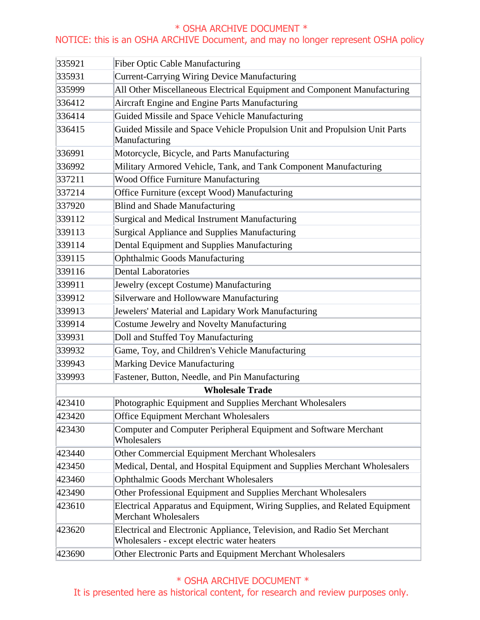## NOTICE: this is an OSHA ARCHIVE Document, and may no longer represent OSHA policy

| 335921 | <b>Fiber Optic Cable Manufacturing</b>                                                                                 |
|--------|------------------------------------------------------------------------------------------------------------------------|
| 335931 | <b>Current-Carrying Wiring Device Manufacturing</b>                                                                    |
| 335999 | All Other Miscellaneous Electrical Equipment and Component Manufacturing                                               |
| 336412 | Aircraft Engine and Engine Parts Manufacturing                                                                         |
| 336414 | Guided Missile and Space Vehicle Manufacturing                                                                         |
| 336415 | Guided Missile and Space Vehicle Propulsion Unit and Propulsion Unit Parts<br>Manufacturing                            |
| 336991 | Motorcycle, Bicycle, and Parts Manufacturing                                                                           |
| 336992 | Military Armored Vehicle, Tank, and Tank Component Manufacturing                                                       |
| 337211 | <b>Wood Office Furniture Manufacturing</b>                                                                             |
| 337214 | Office Furniture (except Wood) Manufacturing                                                                           |
| 337920 | <b>Blind and Shade Manufacturing</b>                                                                                   |
| 339112 | Surgical and Medical Instrument Manufacturing                                                                          |
| 339113 | Surgical Appliance and Supplies Manufacturing                                                                          |
| 339114 | Dental Equipment and Supplies Manufacturing                                                                            |
| 339115 | <b>Ophthalmic Goods Manufacturing</b>                                                                                  |
| 339116 | <b>Dental Laboratories</b>                                                                                             |
| 339911 | Jewelry (except Costume) Manufacturing                                                                                 |
| 339912 | Silverware and Hollowware Manufacturing                                                                                |
| 339913 | Jewelers' Material and Lapidary Work Manufacturing                                                                     |
| 339914 | Costume Jewelry and Novelty Manufacturing                                                                              |
| 339931 | Doll and Stuffed Toy Manufacturing                                                                                     |
| 339932 | Game, Toy, and Children's Vehicle Manufacturing                                                                        |
| 339943 | Marking Device Manufacturing                                                                                           |
| 339993 | Fastener, Button, Needle, and Pin Manufacturing                                                                        |
|        | <b>Wholesale Trade</b>                                                                                                 |
| 423410 | Photographic Equipment and Supplies Merchant Wholesalers                                                               |
| 423420 | <b>Office Equipment Merchant Wholesalers</b>                                                                           |
| 423430 | Computer and Computer Peripheral Equipment and Software Merchant<br>Wholesalers                                        |
| 423440 | Other Commercial Equipment Merchant Wholesalers                                                                        |
| 423450 | Medical, Dental, and Hospital Equipment and Supplies Merchant Wholesalers                                              |
| 423460 | <b>Ophthalmic Goods Merchant Wholesalers</b>                                                                           |
| 423490 | Other Professional Equipment and Supplies Merchant Wholesalers                                                         |
| 423610 | Electrical Apparatus and Equipment, Wiring Supplies, and Related Equipment<br><b>Merchant Wholesalers</b>              |
| 423620 | Electrical and Electronic Appliance, Television, and Radio Set Merchant<br>Wholesalers - except electric water heaters |
| 423690 | Other Electronic Parts and Equipment Merchant Wholesalers                                                              |

\* OSHA ARCHIVE DOCUMENT \*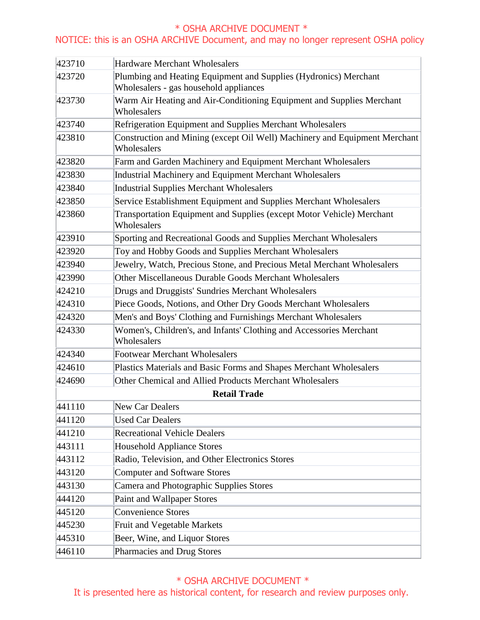## NOTICE: this is an OSHA ARCHIVE Document, and may no longer represent OSHA policy

| 423710 | Hardware Merchant Wholesalers                                                                              |
|--------|------------------------------------------------------------------------------------------------------------|
| 423720 | Plumbing and Heating Equipment and Supplies (Hydronics) Merchant<br>Wholesalers - gas household appliances |
| 423730 | Warm Air Heating and Air-Conditioning Equipment and Supplies Merchant<br>Wholesalers                       |
| 423740 | Refrigeration Equipment and Supplies Merchant Wholesalers                                                  |
| 423810 | Construction and Mining (except Oil Well) Machinery and Equipment Merchant<br>Wholesalers                  |
| 423820 | Farm and Garden Machinery and Equipment Merchant Wholesalers                                               |
| 423830 | <b>Industrial Machinery and Equipment Merchant Wholesalers</b>                                             |
| 423840 | <b>Industrial Supplies Merchant Wholesalers</b>                                                            |
| 423850 | Service Establishment Equipment and Supplies Merchant Wholesalers                                          |
| 423860 | Transportation Equipment and Supplies (except Motor Vehicle) Merchant<br>Wholesalers                       |
| 423910 | Sporting and Recreational Goods and Supplies Merchant Wholesalers                                          |
| 423920 | Toy and Hobby Goods and Supplies Merchant Wholesalers                                                      |
| 423940 | Jewelry, Watch, Precious Stone, and Precious Metal Merchant Wholesalers                                    |
| 423990 | Other Miscellaneous Durable Goods Merchant Wholesalers                                                     |
| 424210 | Drugs and Druggists' Sundries Merchant Wholesalers                                                         |
| 424310 | Piece Goods, Notions, and Other Dry Goods Merchant Wholesalers                                             |
| 424320 | Men's and Boys' Clothing and Furnishings Merchant Wholesalers                                              |
| 424330 | Women's, Children's, and Infants' Clothing and Accessories Merchant<br>Wholesalers                         |
| 424340 | <b>Footwear Merchant Wholesalers</b>                                                                       |
| 424610 | Plastics Materials and Basic Forms and Shapes Merchant Wholesalers                                         |
| 424690 | Other Chemical and Allied Products Merchant Wholesalers                                                    |
|        | <b>Retail Trade</b>                                                                                        |
| 441110 | New Car Dealers                                                                                            |
| 441120 | <b>Used Car Dealers</b>                                                                                    |
| 441210 | <b>Recreational Vehicle Dealers</b>                                                                        |
| 443111 | <b>Household Appliance Stores</b>                                                                          |
| 443112 | Radio, Television, and Other Electronics Stores                                                            |
| 443120 | <b>Computer and Software Stores</b>                                                                        |
| 443130 | Camera and Photographic Supplies Stores                                                                    |
| 444120 | Paint and Wallpaper Stores                                                                                 |
| 445120 | <b>Convenience Stores</b>                                                                                  |
| 445230 | Fruit and Vegetable Markets                                                                                |
| 445310 | Beer, Wine, and Liquor Stores                                                                              |
| 446110 | Pharmacies and Drug Stores                                                                                 |

## \* OSHA ARCHIVE DOCUMENT \*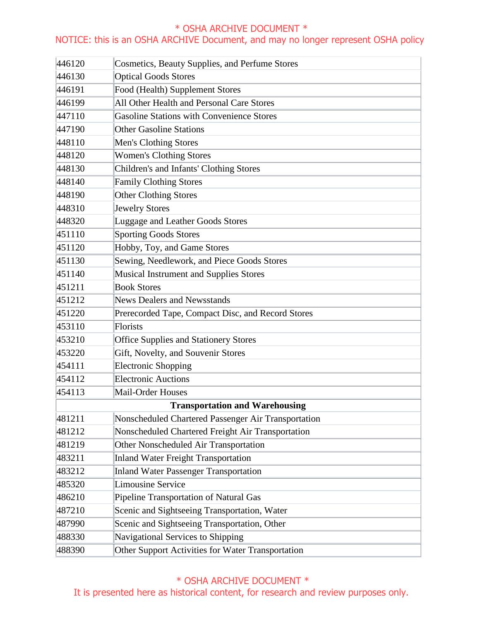## NOTICE: this is an OSHA ARCHIVE Document, and may no longer represent OSHA policy

| 446120                                | Cosmetics, Beauty Supplies, and Perfume Stores      |  |
|---------------------------------------|-----------------------------------------------------|--|
| 446130                                | <b>Optical Goods Stores</b>                         |  |
| 446191                                | Food (Health) Supplement Stores                     |  |
| 446199                                | All Other Health and Personal Care Stores           |  |
| 447110                                | <b>Gasoline Stations with Convenience Stores</b>    |  |
| 447190                                | <b>Other Gasoline Stations</b>                      |  |
| 448110                                | Men's Clothing Stores                               |  |
| 448120                                | <b>Women's Clothing Stores</b>                      |  |
| 448130                                | Children's and Infants' Clothing Stores             |  |
| 448140                                | <b>Family Clothing Stores</b>                       |  |
| 448190                                | Other Clothing Stores                               |  |
| 448310                                | <b>Jewelry Stores</b>                               |  |
| 448320                                | Luggage and Leather Goods Stores                    |  |
| 451110                                | <b>Sporting Goods Stores</b>                        |  |
| 451120                                | Hobby, Toy, and Game Stores                         |  |
| 451130                                | Sewing, Needlework, and Piece Goods Stores          |  |
| 451140                                | <b>Musical Instrument and Supplies Stores</b>       |  |
| 451211                                | <b>Book Stores</b>                                  |  |
| 451212                                | <b>News Dealers and Newsstands</b>                  |  |
| 451220                                | Prerecorded Tape, Compact Disc, and Record Stores   |  |
| 453110                                | Florists                                            |  |
| 453210                                | Office Supplies and Stationery Stores               |  |
| 453220                                | Gift, Novelty, and Souvenir Stores                  |  |
| 454111                                | <b>Electronic Shopping</b>                          |  |
| 454112                                | <b>Electronic Auctions</b>                          |  |
| 454113                                | Mail-Order Houses                                   |  |
| <b>Transportation and Warehousing</b> |                                                     |  |
| 481211                                | Nonscheduled Chartered Passenger Air Transportation |  |
| 481212                                | Nonscheduled Chartered Freight Air Transportation   |  |
| 481219                                | Other Nonscheduled Air Transportation               |  |
| 483211                                | <b>Inland Water Freight Transportation</b>          |  |
| 483212                                | <b>Inland Water Passenger Transportation</b>        |  |
| 485320                                | Limousine Service                                   |  |
| 486210                                | <b>Pipeline Transportation of Natural Gas</b>       |  |
| 487210                                | Scenic and Sightseeing Transportation, Water        |  |
| 487990                                | Scenic and Sightseeing Transportation, Other        |  |
| 488330                                | Navigational Services to Shipping                   |  |
| 488390                                | Other Support Activities for Water Transportation   |  |

## \* OSHA ARCHIVE DOCUMENT \*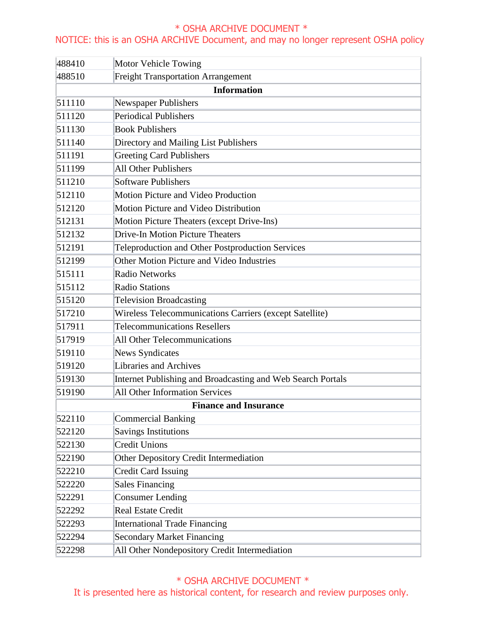### NOTICE: this is an OSHA ARCHIVE Document, and may no longer represent OSHA policy

| 488410 | <b>Motor Vehicle Towing</b>                                 |
|--------|-------------------------------------------------------------|
| 488510 | <b>Freight Transportation Arrangement</b>                   |
|        | <b>Information</b>                                          |
| 511110 | Newspaper Publishers                                        |
| 511120 | <b>Periodical Publishers</b>                                |
| 511130 | <b>Book Publishers</b>                                      |
| 511140 | Directory and Mailing List Publishers                       |
| 511191 | <b>Greeting Card Publishers</b>                             |
| 511199 | <b>All Other Publishers</b>                                 |
| 511210 | <b>Software Publishers</b>                                  |
| 512110 | Motion Picture and Video Production                         |
| 512120 | Motion Picture and Video Distribution                       |
| 512131 | Motion Picture Theaters (except Drive-Ins)                  |
| 512132 | <b>Drive-In Motion Picture Theaters</b>                     |
| 512191 | Teleproduction and Other Postproduction Services            |
| 512199 | Other Motion Picture and Video Industries                   |
| 515111 | <b>Radio Networks</b>                                       |
| 515112 | <b>Radio Stations</b>                                       |
| 515120 | <b>Television Broadcasting</b>                              |
| 517210 | Wireless Telecommunications Carriers (except Satellite)     |
| 517911 | <b>Telecommunications Resellers</b>                         |
| 517919 | <b>All Other Telecommunications</b>                         |
| 519110 | <b>News Syndicates</b>                                      |
| 519120 | Libraries and Archives                                      |
| 519130 | Internet Publishing and Broadcasting and Web Search Portals |
| 519190 | <b>All Other Information Services</b>                       |
|        | <b>Finance and Insurance</b>                                |
| 522110 | <b>Commercial Banking</b>                                   |
| 522120 | <b>Savings Institutions</b>                                 |
| 522130 | <b>Credit Unions</b>                                        |
| 522190 | <b>Other Depository Credit Intermediation</b>               |
| 522210 | <b>Credit Card Issuing</b>                                  |
| 522220 | <b>Sales Financing</b>                                      |
| 522291 | <b>Consumer Lending</b>                                     |
| 522292 | <b>Real Estate Credit</b>                                   |
| 522293 | <b>International Trade Financing</b>                        |
| 522294 | <b>Secondary Market Financing</b>                           |
| 522298 | All Other Nondepository Credit Intermediation               |

## \* OSHA ARCHIVE DOCUMENT \*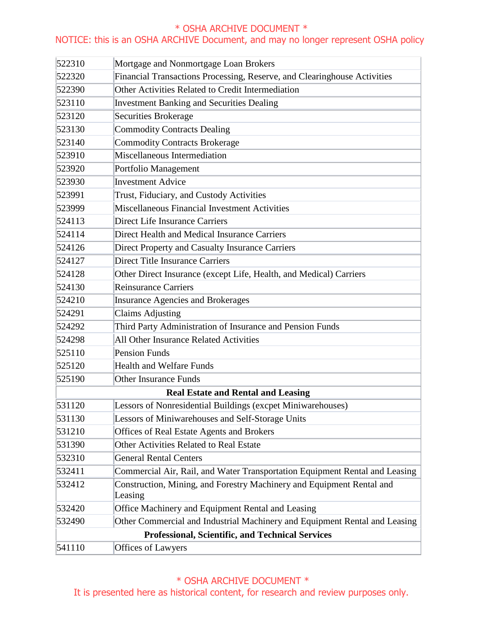## NOTICE: this is an OSHA ARCHIVE Document, and may no longer represent OSHA policy

| 522310                                    | Mortgage and Nonmortgage Loan Brokers                                            |  |
|-------------------------------------------|----------------------------------------------------------------------------------|--|
| 522320                                    | Financial Transactions Processing, Reserve, and Clearinghouse Activities         |  |
| 522390                                    | Other Activities Related to Credit Intermediation                                |  |
| 523110                                    | <b>Investment Banking and Securities Dealing</b>                                 |  |
| 523120                                    | Securities Brokerage                                                             |  |
| 523130                                    | Commodity Contracts Dealing                                                      |  |
| 523140                                    | <b>Commodity Contracts Brokerage</b>                                             |  |
| 523910                                    | Miscellaneous Intermediation                                                     |  |
| 523920                                    | Portfolio Management                                                             |  |
| 523930                                    | <b>Investment Advice</b>                                                         |  |
| 523991                                    | Trust, Fiduciary, and Custody Activities                                         |  |
| 523999                                    | Miscellaneous Financial Investment Activities                                    |  |
| 524113                                    | Direct Life Insurance Carriers                                                   |  |
| 524114                                    | Direct Health and Medical Insurance Carriers                                     |  |
| 524126                                    | Direct Property and Casualty Insurance Carriers                                  |  |
| 524127                                    | Direct Title Insurance Carriers                                                  |  |
| 524128                                    | Other Direct Insurance (except Life, Health, and Medical) Carriers               |  |
| 524130                                    | <b>Reinsurance Carriers</b>                                                      |  |
| 524210                                    | <b>Insurance Agencies and Brokerages</b>                                         |  |
| 524291                                    | <b>Claims Adjusting</b>                                                          |  |
| 524292                                    | Third Party Administration of Insurance and Pension Funds                        |  |
| 524298                                    | All Other Insurance Related Activities                                           |  |
| 525110                                    | <b>Pension Funds</b>                                                             |  |
| 525120                                    | <b>Health and Welfare Funds</b>                                                  |  |
| 525190                                    | <b>Other Insurance Funds</b>                                                     |  |
| <b>Real Estate and Rental and Leasing</b> |                                                                                  |  |
| 531120                                    | Lessors of Nonresidential Buildings (excpet Miniwarehouses)                      |  |
| 531130                                    | Lessors of Miniwarehouses and Self-Storage Units                                 |  |
| 531210                                    | <b>Offices of Real Estate Agents and Brokers</b>                                 |  |
| 531390                                    | <b>Other Activities Related to Real Estate</b>                                   |  |
| 532310                                    | <b>General Rental Centers</b>                                                    |  |
| 532411                                    | Commercial Air, Rail, and Water Transportation Equipment Rental and Leasing      |  |
| 532412                                    | Construction, Mining, and Forestry Machinery and Equipment Rental and<br>Leasing |  |
| 532420                                    | Office Machinery and Equipment Rental and Leasing                                |  |
| 532490                                    | Other Commercial and Industrial Machinery and Equipment Rental and Leasing       |  |
|                                           | <b>Professional, Scientific, and Technical Services</b>                          |  |
| 541110                                    | Offices of Lawyers                                                               |  |

# \* OSHA ARCHIVE DOCUMENT \*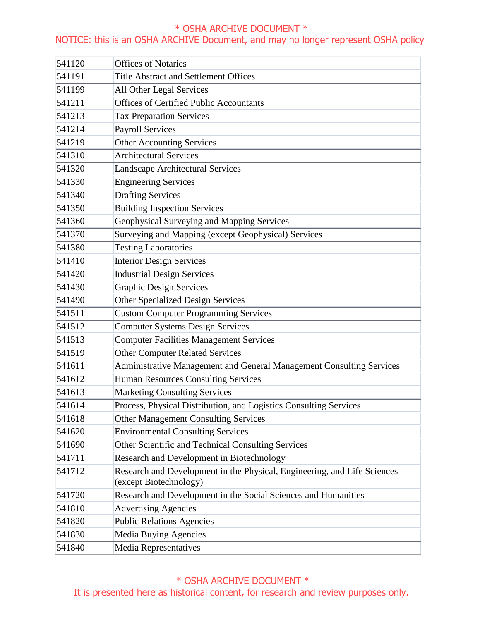## NOTICE: this is an OSHA ARCHIVE Document, and may no longer represent OSHA policy

| 541120 | <b>Offices of Notaries</b>                                                                         |
|--------|----------------------------------------------------------------------------------------------------|
| 541191 | <b>Title Abstract and Settlement Offices</b>                                                       |
| 541199 | All Other Legal Services                                                                           |
| 541211 | <b>Offices of Certified Public Accountants</b>                                                     |
| 541213 | <b>Tax Preparation Services</b>                                                                    |
| 541214 | <b>Payroll Services</b>                                                                            |
| 541219 | <b>Other Accounting Services</b>                                                                   |
| 541310 | <b>Architectural Services</b>                                                                      |
| 541320 | Landscape Architectural Services                                                                   |
| 541330 | <b>Engineering Services</b>                                                                        |
| 541340 | <b>Drafting Services</b>                                                                           |
| 541350 | <b>Building Inspection Services</b>                                                                |
| 541360 | Geophysical Surveying and Mapping Services                                                         |
| 541370 | Surveying and Mapping (except Geophysical) Services                                                |
| 541380 | <b>Testing Laboratories</b>                                                                        |
| 541410 | <b>Interior Design Services</b>                                                                    |
| 541420 | <b>Industrial Design Services</b>                                                                  |
| 541430 | <b>Graphic Design Services</b>                                                                     |
| 541490 | <b>Other Specialized Design Services</b>                                                           |
| 541511 | <b>Custom Computer Programming Services</b>                                                        |
| 541512 | <b>Computer Systems Design Services</b>                                                            |
| 541513 | <b>Computer Facilities Management Services</b>                                                     |
| 541519 | <b>Other Computer Related Services</b>                                                             |
| 541611 | Administrative Management and General Management Consulting Services                               |
| 541612 | Human Resources Consulting Services                                                                |
| 541613 | <b>Marketing Consulting Services</b>                                                               |
| 541614 | Process, Physical Distribution, and Logistics Consulting Services                                  |
| 541618 | <b>Other Management Consulting Services</b>                                                        |
| 541620 | <b>Environmental Consulting Services</b>                                                           |
| 541690 | Other Scientific and Technical Consulting Services                                                 |
| 541711 | Research and Development in Biotechnology                                                          |
| 541712 | Research and Development in the Physical, Engineering, and Life Sciences<br>(except Biotechnology) |
| 541720 | Research and Development in the Social Sciences and Humanities                                     |
| 541810 | <b>Advertising Agencies</b>                                                                        |
| 541820 | <b>Public Relations Agencies</b>                                                                   |
| 541830 | Media Buying Agencies                                                                              |
| 541840 | Media Representatives                                                                              |

# \* OSHA ARCHIVE DOCUMENT \*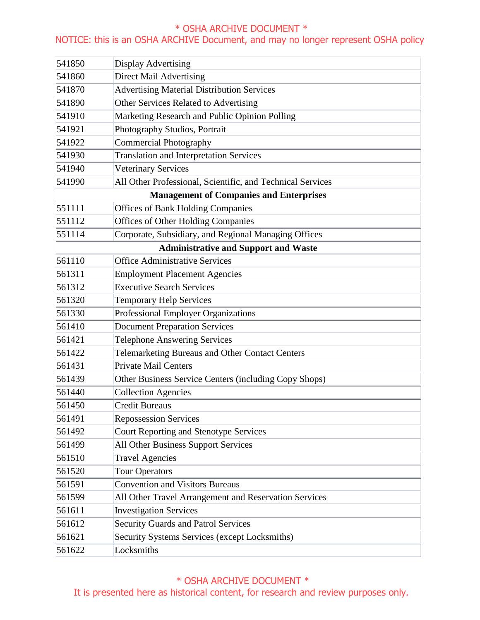## NOTICE: this is an OSHA ARCHIVE Document, and may no longer represent OSHA policy

| 541850                                         | Display Advertising                                        |  |  |
|------------------------------------------------|------------------------------------------------------------|--|--|
| 541860                                         | <b>Direct Mail Advertising</b>                             |  |  |
| 541870                                         | <b>Advertising Material Distribution Services</b>          |  |  |
| 541890                                         | Other Services Related to Advertising                      |  |  |
| 541910                                         | Marketing Research and Public Opinion Polling              |  |  |
| 541921                                         | Photography Studios, Portrait                              |  |  |
| 541922                                         | <b>Commercial Photography</b>                              |  |  |
| 541930                                         | <b>Translation and Interpretation Services</b>             |  |  |
| 541940                                         | <b>Veterinary Services</b>                                 |  |  |
| 541990                                         | All Other Professional, Scientific, and Technical Services |  |  |
| <b>Management of Companies and Enterprises</b> |                                                            |  |  |
| 551111                                         | <b>Offices of Bank Holding Companies</b>                   |  |  |
| 551112                                         | <b>Offices of Other Holding Companies</b>                  |  |  |
| 551114                                         | Corporate, Subsidiary, and Regional Managing Offices       |  |  |
| <b>Administrative and Support and Waste</b>    |                                                            |  |  |
| 561110                                         | Office Administrative Services                             |  |  |
| 561311                                         | <b>Employment Placement Agencies</b>                       |  |  |
| 561312                                         | <b>Executive Search Services</b>                           |  |  |
| 561320                                         | <b>Temporary Help Services</b>                             |  |  |
| 561330                                         | <b>Professional Employer Organizations</b>                 |  |  |
| 561410                                         | <b>Document Preparation Services</b>                       |  |  |
| 561421                                         | <b>Telephone Answering Services</b>                        |  |  |
| 561422                                         | Telemarketing Bureaus and Other Contact Centers            |  |  |
| 561431                                         | <b>Private Mail Centers</b>                                |  |  |
| 561439                                         | Other Business Service Centers (including Copy Shops)      |  |  |
| 561440                                         | <b>Collection Agencies</b>                                 |  |  |
| 561450                                         | <b>Credit Bureaus</b>                                      |  |  |
| 561491                                         | <b>Repossession Services</b>                               |  |  |
| 561492                                         | Court Reporting and Stenotype Services                     |  |  |
| 561499                                         | All Other Business Support Services                        |  |  |
| 561510                                         | <b>Travel Agencies</b>                                     |  |  |
| 561520                                         | <b>Tour Operators</b>                                      |  |  |
| 561591                                         | <b>Convention and Visitors Bureaus</b>                     |  |  |
| 561599                                         | All Other Travel Arrangement and Reservation Services      |  |  |
| 561611                                         | <b>Investigation Services</b>                              |  |  |
| 561612                                         | <b>Security Guards and Patrol Services</b>                 |  |  |
| 561621                                         | Security Systems Services (except Locksmiths)              |  |  |
| 561622                                         | Locksmiths                                                 |  |  |

## \* OSHA ARCHIVE DOCUMENT \*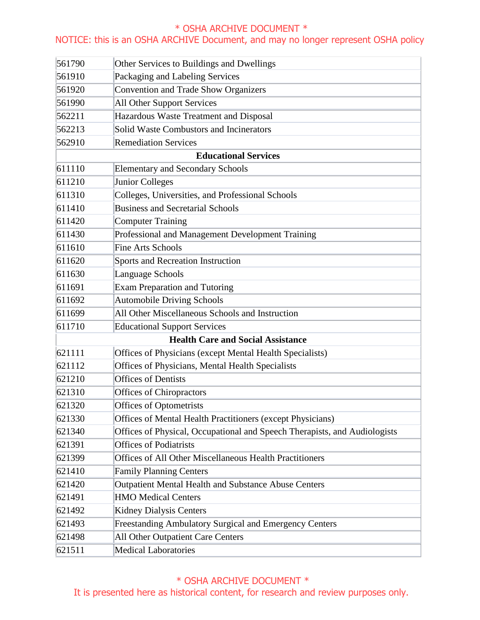## NOTICE: this is an OSHA ARCHIVE Document, and may no longer represent OSHA policy

| 561790                                   | Other Services to Buildings and Dwellings                                 |  |
|------------------------------------------|---------------------------------------------------------------------------|--|
| 561910                                   | Packaging and Labeling Services                                           |  |
| 561920                                   | Convention and Trade Show Organizers                                      |  |
| 561990                                   | <b>All Other Support Services</b>                                         |  |
| 562211                                   | Hazardous Waste Treatment and Disposal                                    |  |
| 562213                                   | Solid Waste Combustors and Incinerators                                   |  |
| 562910                                   | <b>Remediation Services</b>                                               |  |
| <b>Educational Services</b>              |                                                                           |  |
| 611110                                   | <b>Elementary and Secondary Schools</b>                                   |  |
| 611210                                   | <b>Junior Colleges</b>                                                    |  |
| 611310                                   | Colleges, Universities, and Professional Schools                          |  |
| 611410                                   | <b>Business and Secretarial Schools</b>                                   |  |
| 611420                                   | <b>Computer Training</b>                                                  |  |
| 611430                                   | Professional and Management Development Training                          |  |
| 611610                                   | <b>Fine Arts Schools</b>                                                  |  |
| 611620                                   | Sports and Recreation Instruction                                         |  |
| 611630                                   | Language Schools                                                          |  |
| 611691                                   | <b>Exam Preparation and Tutoring</b>                                      |  |
| 611692                                   | <b>Automobile Driving Schools</b>                                         |  |
| 611699                                   | All Other Miscellaneous Schools and Instruction                           |  |
| 611710                                   | <b>Educational Support Services</b>                                       |  |
| <b>Health Care and Social Assistance</b> |                                                                           |  |
| 621111                                   | Offices of Physicians (except Mental Health Specialists)                  |  |
| 621112                                   | Offices of Physicians, Mental Health Specialists                          |  |
| 621210                                   | <b>Offices of Dentists</b>                                                |  |
| 621310                                   | <b>Offices of Chiropractors</b>                                           |  |
| 621320                                   | Offices of Optometrists                                                   |  |
| 621330                                   | Offices of Mental Health Practitioners (except Physicians)                |  |
| 621340                                   | Offices of Physical, Occupational and Speech Therapists, and Audiologists |  |
| 621391                                   | <b>Offices of Podiatrists</b>                                             |  |
| 621399                                   | Offices of All Other Miscellaneous Health Practitioners                   |  |
| 621410                                   | <b>Family Planning Centers</b>                                            |  |
| 621420                                   | <b>Outpatient Mental Health and Substance Abuse Centers</b>               |  |
| 621491                                   | <b>HMO Medical Centers</b>                                                |  |
| 621492                                   | <b>Kidney Dialysis Centers</b>                                            |  |
| 621493                                   | <b>Freestanding Ambulatory Surgical and Emergency Centers</b>             |  |
| 621498                                   | All Other Outpatient Care Centers                                         |  |
| 621511                                   | <b>Medical Laboratories</b>                                               |  |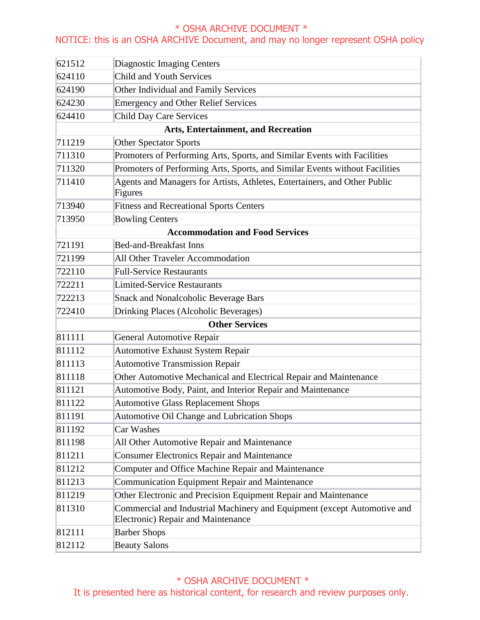## NOTICE: this is an OSHA ARCHIVE Document, and may no longer represent OSHA policy

| 621512                                     | <b>Diagnostic Imaging Centers</b>                                                                              |  |
|--------------------------------------------|----------------------------------------------------------------------------------------------------------------|--|
| 624110                                     | <b>Child and Youth Services</b>                                                                                |  |
| 624190                                     | Other Individual and Family Services                                                                           |  |
| 624230                                     | <b>Emergency and Other Relief Services</b>                                                                     |  |
| 624410                                     | <b>Child Day Care Services</b>                                                                                 |  |
| <b>Arts, Entertainment, and Recreation</b> |                                                                                                                |  |
| 711219                                     | <b>Other Spectator Sports</b>                                                                                  |  |
| 711310                                     | Promoters of Performing Arts, Sports, and Similar Events with Facilities                                       |  |
| 711320                                     | Promoters of Performing Arts, Sports, and Similar Events without Facilities                                    |  |
| 711410                                     | Agents and Managers for Artists, Athletes, Entertainers, and Other Public<br>Figures                           |  |
| 713940                                     | <b>Fitness and Recreational Sports Centers</b>                                                                 |  |
| 713950                                     | <b>Bowling Centers</b>                                                                                         |  |
| <b>Accommodation and Food Services</b>     |                                                                                                                |  |
| 721191                                     | <b>Bed-and-Breakfast Inns</b>                                                                                  |  |
| 721199                                     | All Other Traveler Accommodation                                                                               |  |
| 722110                                     | <b>Full-Service Restaurants</b>                                                                                |  |
| 722211                                     | <b>Limited-Service Restaurants</b>                                                                             |  |
| 722213                                     | <b>Snack and Nonalcoholic Beverage Bars</b>                                                                    |  |
| 722410                                     | Drinking Places (Alcoholic Beverages)                                                                          |  |
| <b>Other Services</b>                      |                                                                                                                |  |
| 811111                                     | <b>General Automotive Repair</b>                                                                               |  |
| 811112                                     | Automotive Exhaust System Repair                                                                               |  |
| 811113                                     | <b>Automotive Transmission Repair</b>                                                                          |  |
| 811118                                     | Other Automotive Mechanical and Electrical Repair and Maintenance                                              |  |
| 811121                                     | Automotive Body, Paint, and Interior Repair and Maintenance                                                    |  |
| 811122                                     | <b>Automotive Glass Replacement Shops</b>                                                                      |  |
| 811191                                     | Automotive Oil Change and Lubrication Shops                                                                    |  |
| 811192                                     | Car Washes                                                                                                     |  |
| 811198                                     | All Other Automotive Repair and Maintenance                                                                    |  |
| 811211                                     | <b>Consumer Electronics Repair and Maintenance</b>                                                             |  |
| 811212                                     | Computer and Office Machine Repair and Maintenance                                                             |  |
| 811213                                     | Communication Equipment Repair and Maintenance                                                                 |  |
| 811219                                     | Other Electronic and Precision Equipment Repair and Maintenance                                                |  |
| 811310                                     | Commercial and Industrial Machinery and Equipment (except Automotive and<br>Electronic) Repair and Maintenance |  |
| 812111                                     | <b>Barber Shops</b>                                                                                            |  |
| 812112                                     | <b>Beauty Salons</b>                                                                                           |  |

 \* OSHA ARCHIVE DOCUMENT \* It is presented here as historical content, for research and review purposes only.